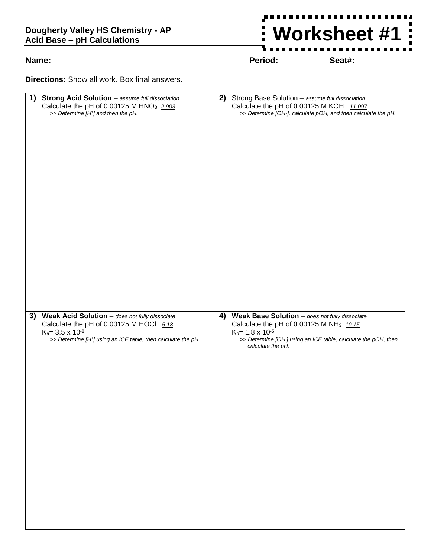## **Dougherty Valley HS Chemistry - AP Acid Base – pH Calculations**

**Name: Period: Seat#:**

 $\frac{1}{2}$ 

 $\blacksquare$ Ξ  $\blacksquare$ 

**Worksheet #1**

**Directions:** Show all work. Box final answers.

| 1) Strong Acid Solution - assume full dissociation<br>Calculate the pH of 0.00125 M HNO <sub>3</sub> 2.903<br>>> Determine [H <sup>+</sup> ] and then the pH. | 2) | Strong Base Solution - assume full dissociation<br>Calculate the pH of 0.00125 M KOH 11.097<br>>> Determine [OH-], calculate pOH, and then calculate the pH. |
|---------------------------------------------------------------------------------------------------------------------------------------------------------------|----|--------------------------------------------------------------------------------------------------------------------------------------------------------------|
| 3) Weak Acid Solution - does not fully dissociate                                                                                                             |    | 4) Weak Base Solution - does not fully dissociate                                                                                                            |
| Calculate the pH of 0.00125 M HOCl $5.18$                                                                                                                     |    | Calculate the pH of 0.00125 M NH <sub>3</sub> 10.15                                                                                                          |
| $K_a = 3.5 \times 10^{-8}$<br>>> Determine [H <sup>+</sup> ] using an ICE table, then calculate the pH.                                                       |    | $K_b = 1.8 \times 10^{-5}$<br>>> Determine [OH] using an ICE table, calculate the pOH, then<br>calculate the pH.                                             |